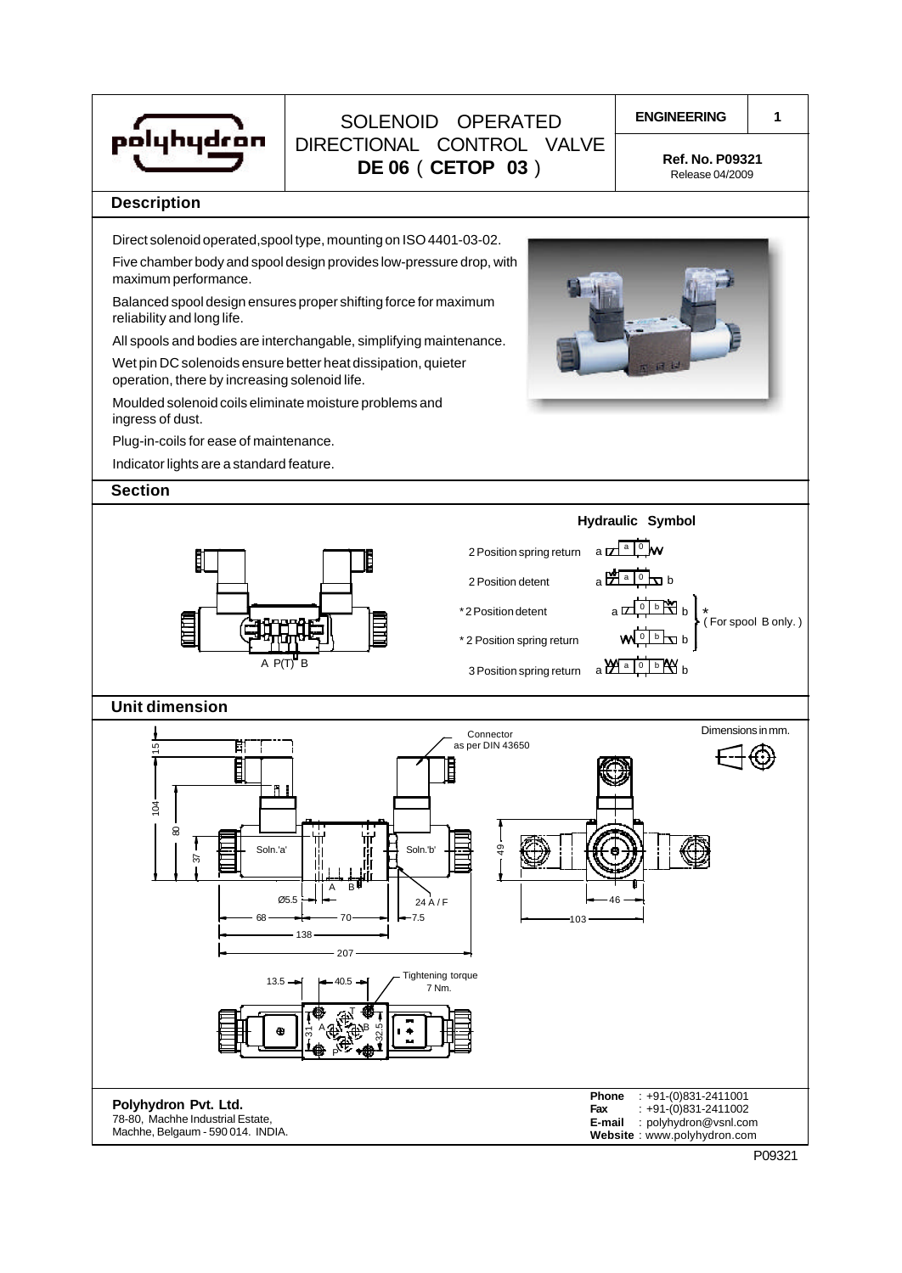

# **ENGINEERING** SOLENOID OPERATED DIRECTIONAL CONTROL VALVE **DE 06 ( CETOP 03** ) **Ref. No. P09321**

**1**

Release 04/2009

#### **Description**

Direct solenoid operated,spool type, mounting on ISO 4401-03-02.

Five chamber body and spool design provides low-pressure drop, with maximum performance.

Balanced spool design ensures proper shifting force for maximum reliability and long life.

All spools and bodies are interchangable, simplifying maintenance.

Wet pin DC solenoids ensure better heat dissipation, quieter operation, there by increasing solenoid life.

Moulded solenoid coils eliminate moisture problems and ingress of dust.

Plug-in-coils for ease of maintenance.

Indicator lights are a standard feature.

### **Section**



**Website** : www.polyhydron.com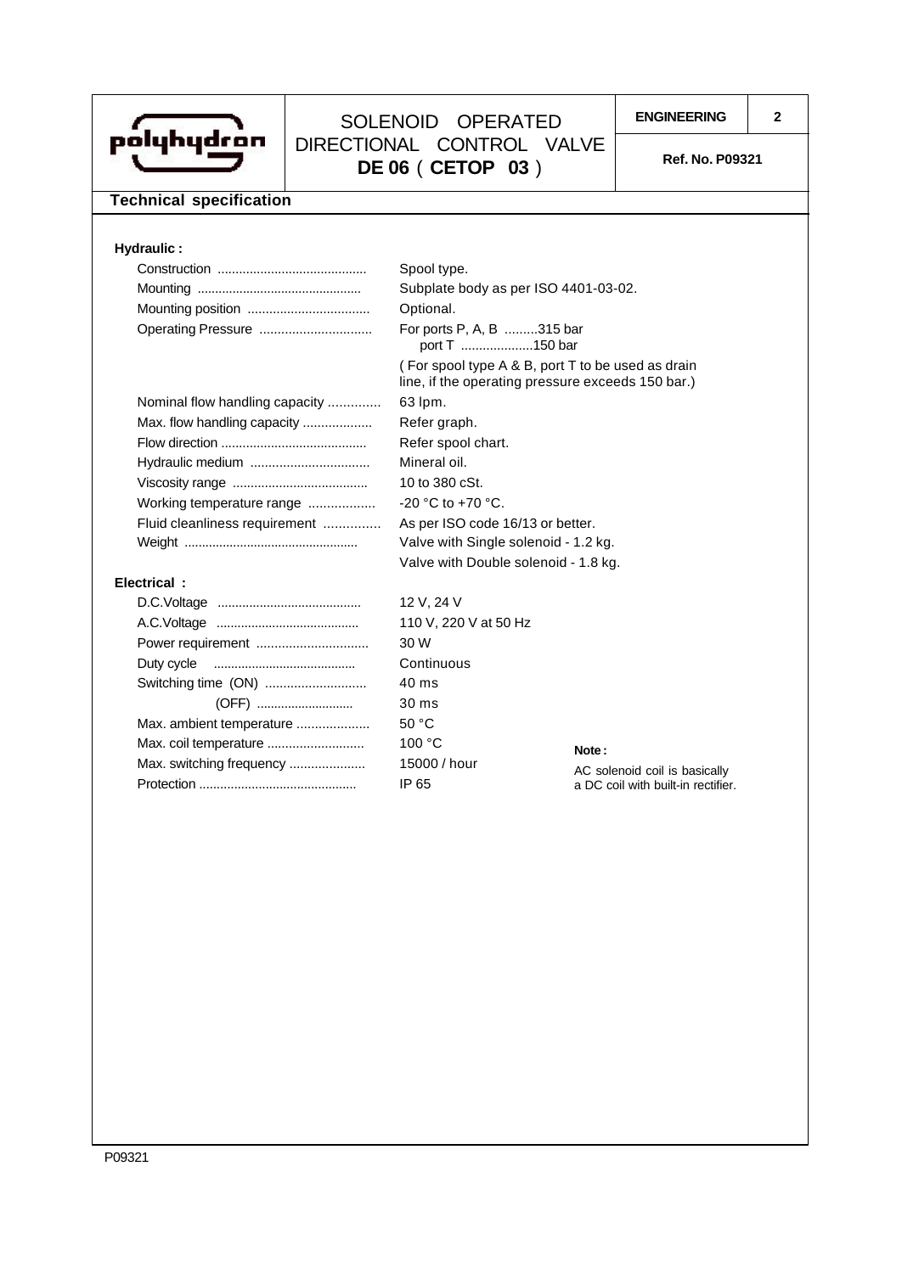

## **ENGINEERING <sup>2</sup>** SOLENOID OPERATED DIRECTIONAL CONTROL VALVE **DE 06 ( CETOP 03** ) Ref. No. P09321

## **Technical specification**

### **Hydraulic :**

|                                | Spool type.                                                                                            |                         |
|--------------------------------|--------------------------------------------------------------------------------------------------------|-------------------------|
|                                | Subplate body as per ISO 4401-03-02.                                                                   |                         |
|                                | Optional.                                                                                              |                         |
| Operating Pressure             | For ports P, A, B 315 bar<br>port T 150 bar                                                            |                         |
|                                | (For spool type A & B, port T to be used as drain<br>line, if the operating pressure exceeds 150 bar.) |                         |
| Nominal flow handling capacity | 63 lpm.                                                                                                |                         |
| Max. flow handling capacity    | Refer graph.                                                                                           |                         |
|                                | Refer spool chart.                                                                                     |                         |
|                                | Mineral oil.                                                                                           |                         |
|                                | 10 to 380 cSt.                                                                                         |                         |
| Working temperature range      | -20 °C to +70 °C.                                                                                      |                         |
| Fluid cleanliness requirement  | As per ISO code 16/13 or better.                                                                       |                         |
|                                | Valve with Single solenoid - 1.2 kg.                                                                   |                         |
|                                | Valve with Double solenoid - 1.8 kg.                                                                   |                         |
| Electrical:                    |                                                                                                        |                         |
|                                | 12 V, 24 V                                                                                             |                         |
|                                | 110 V, 220 V at 50 Hz                                                                                  |                         |
| Power requirement              | 30 W                                                                                                   |                         |
| Duty cycle                     | Continuous                                                                                             |                         |
| Switching time (ON)            | 40 ms                                                                                                  |                         |
| (OFF)                          | 30 ms                                                                                                  |                         |
| Max. ambient temperature       | 50 °C                                                                                                  |                         |
|                                | 100 °C                                                                                                 | Note:                   |
| Max. switching frequency       | 15000 / hour                                                                                           | AC solenoid coil is bas |

Protection ............................................. IP 65

AC solenoid coil is basically a DC coil with built-in rectifier.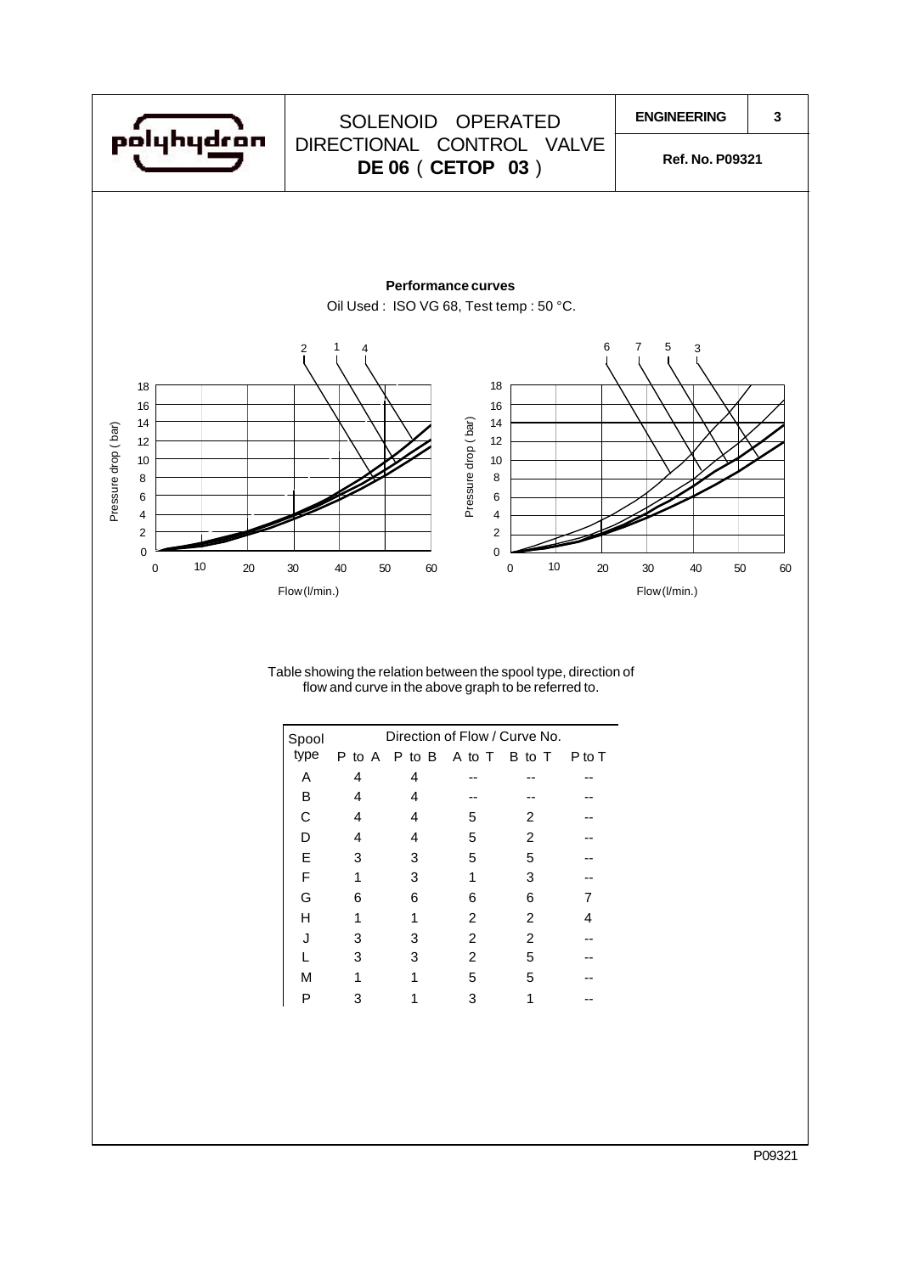

Table showing the relation between the spool type, direction of flow and curve in the above graph to be referred to.

| Spool |   |               |        | Direction of Flow / Curve No. |        |
|-------|---|---------------|--------|-------------------------------|--------|
| type  |   | P to A P to B | A to T | B to T                        | P to T |
| Α     | 4 | 4             |        |                               |        |
| В     | 4 | 4             |        |                               |        |
| C     | 4 | 4             | 5      | 2                             |        |
| D     | 4 | 4             | 5      | 2                             |        |
| Е     | 3 | 3             | 5      | 5                             |        |
| F     | 1 | 3             | 1      | 3                             |        |
| G     | 6 | 6             | 6      | 6                             |        |
| Н     |   |               | 2      | 2                             | 4      |
| J     | 3 | З             | 2      | 2                             |        |
|       | 3 | 3             | 2      | 5                             |        |
| М     |   |               | 5      | 5                             |        |
| Р     |   |               |        |                               |        |

P09321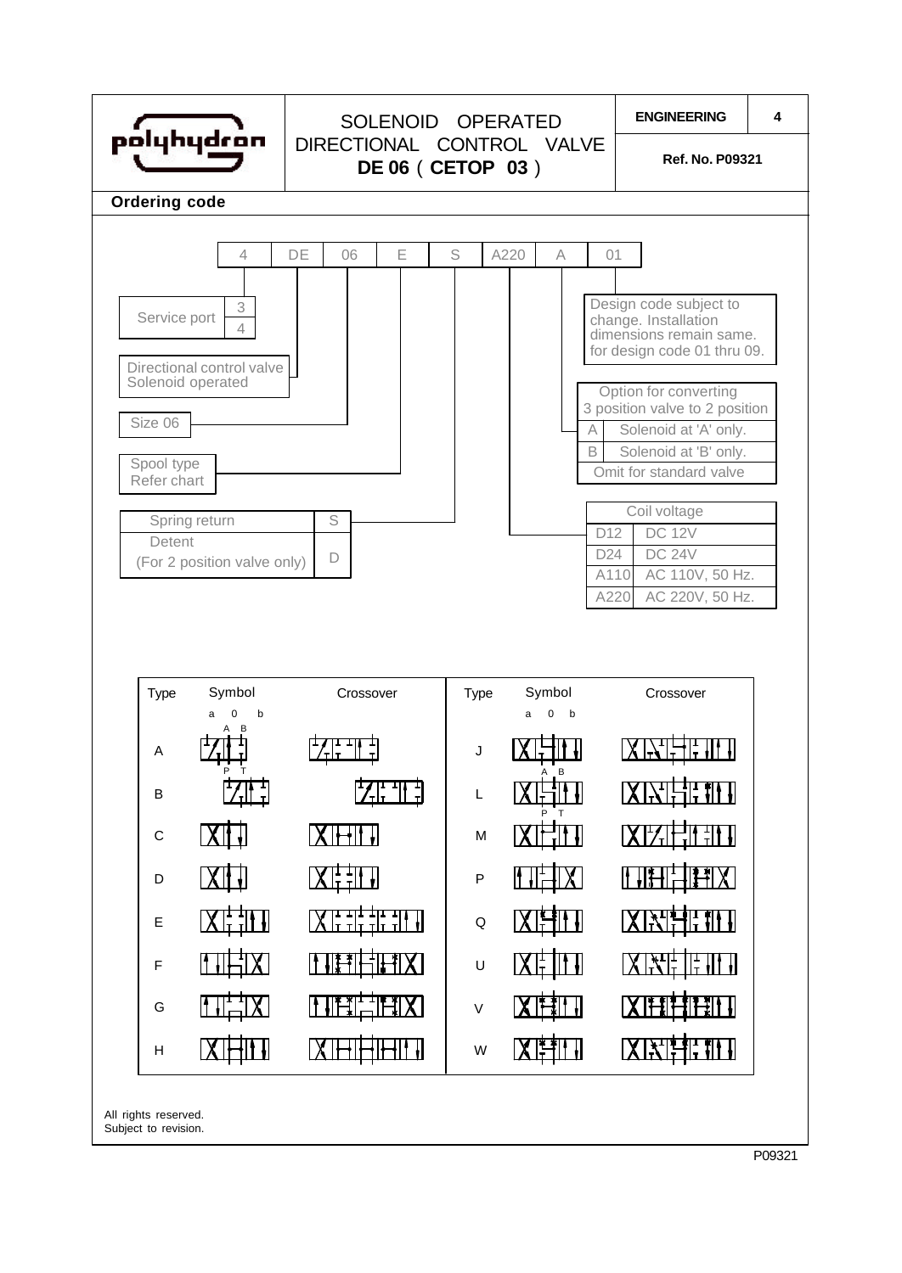

P09321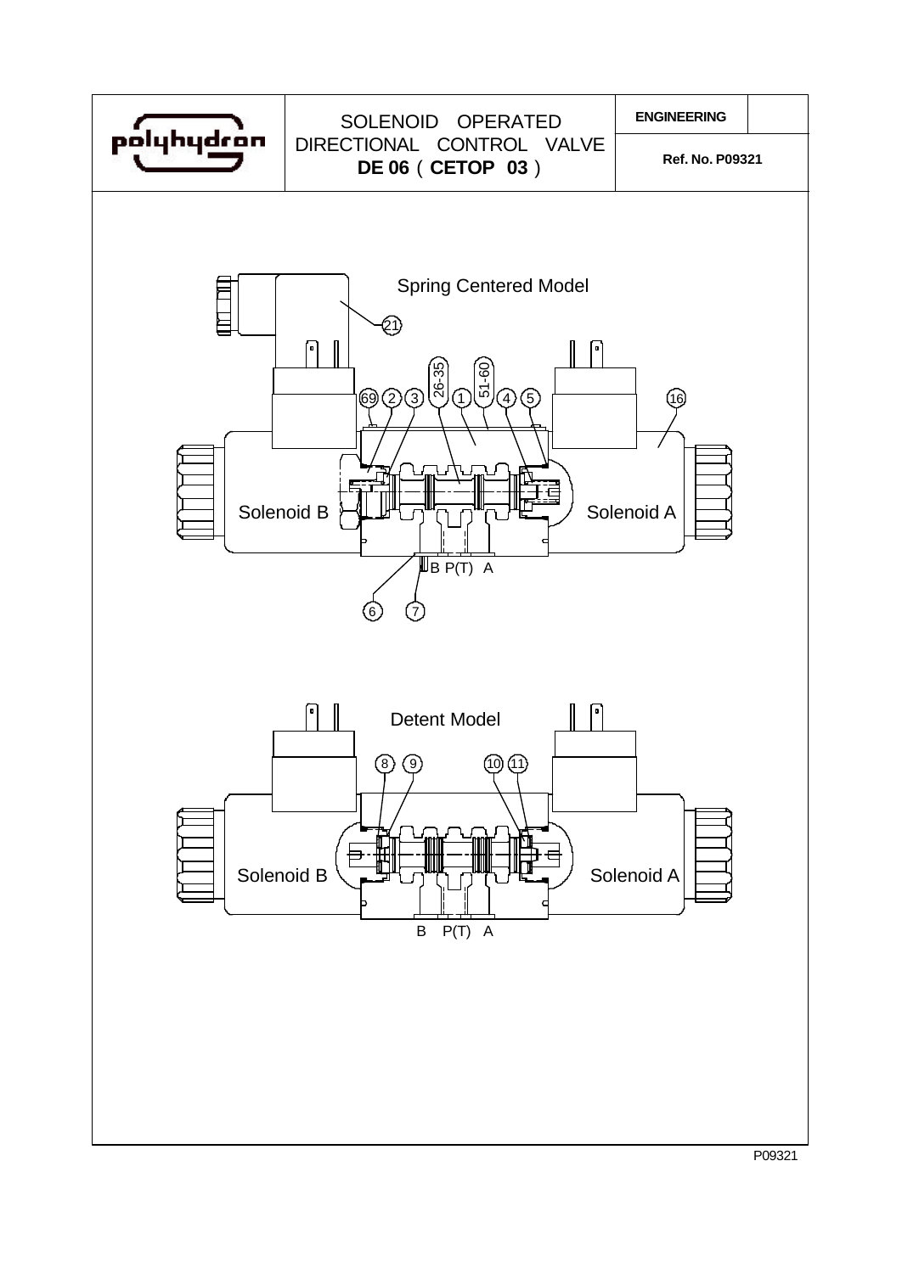